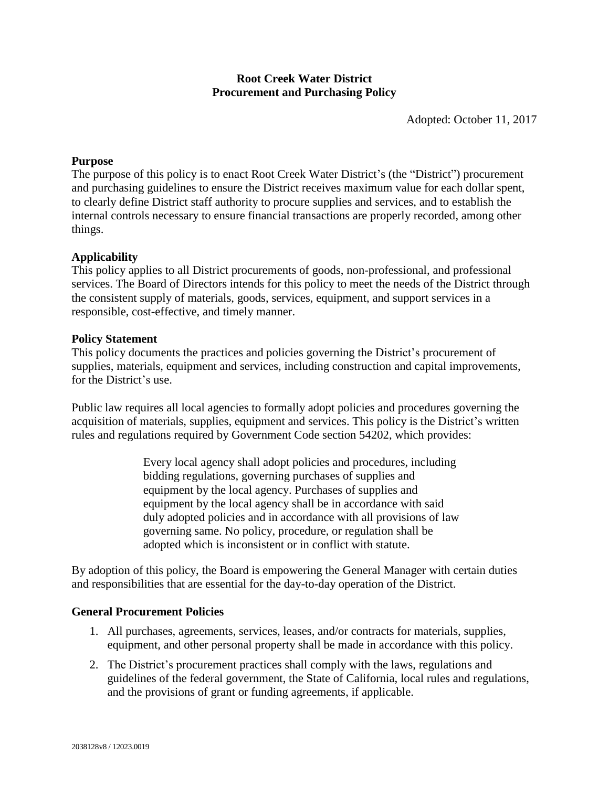# **Root Creek Water District Procurement and Purchasing Policy**

Adopted: October 11, 2017

#### **Purpose**

The purpose of this policy is to enact Root Creek Water District's (the "District") procurement and purchasing guidelines to ensure the District receives maximum value for each dollar spent, to clearly define District staff authority to procure supplies and services, and to establish the internal controls necessary to ensure financial transactions are properly recorded, among other things.

#### **Applicability**

This policy applies to all District procurements of goods, non-professional, and professional services. The Board of Directors intends for this policy to meet the needs of the District through the consistent supply of materials, goods, services, equipment, and support services in a responsible, cost-effective, and timely manner.

#### **Policy Statement**

This policy documents the practices and policies governing the District's procurement of supplies, materials, equipment and services, including construction and capital improvements, for the District's use.

Public law requires all local agencies to formally adopt policies and procedures governing the acquisition of materials, supplies, equipment and services. This policy is the District's written rules and regulations required by Government Code section 54202, which provides:

> Every local agency shall adopt policies and procedures, including bidding regulations, governing purchases of supplies and equipment by the local agency. Purchases of supplies and equipment by the local agency shall be in accordance with said duly adopted policies and in accordance with all provisions of law governing same. No policy, procedure, or regulation shall be adopted which is inconsistent or in conflict with statute.

By adoption of this policy, the Board is empowering the General Manager with certain duties and responsibilities that are essential for the day-to-day operation of the District.

#### **General Procurement Policies**

- 1. All purchases, agreements, services, leases, and/or contracts for materials, supplies, equipment, and other personal property shall be made in accordance with this policy.
- 2. The District's procurement practices shall comply with the laws, regulations and guidelines of the federal government, the State of California, local rules and regulations, and the provisions of grant or funding agreements, if applicable.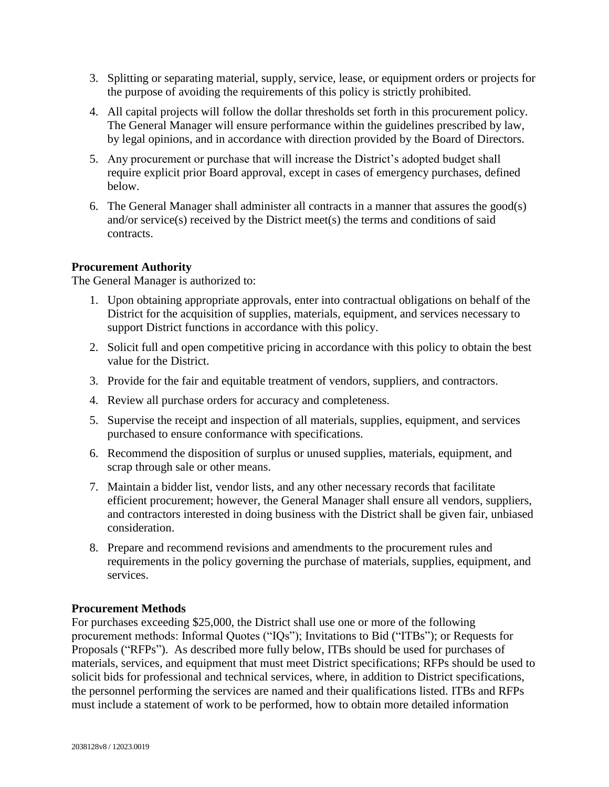- 3. Splitting or separating material, supply, service, lease, or equipment orders or projects for the purpose of avoiding the requirements of this policy is strictly prohibited.
- 4. All capital projects will follow the dollar thresholds set forth in this procurement policy. The General Manager will ensure performance within the guidelines prescribed by law, by legal opinions, and in accordance with direction provided by the Board of Directors.
- 5. Any procurement or purchase that will increase the District's adopted budget shall require explicit prior Board approval, except in cases of emergency purchases, defined below.
- 6. The General Manager shall administer all contracts in a manner that assures the good(s) and/or service(s) received by the District meet(s) the terms and conditions of said contracts.

# **Procurement Authority**

The General Manager is authorized to:

- 1. Upon obtaining appropriate approvals, enter into contractual obligations on behalf of the District for the acquisition of supplies, materials, equipment, and services necessary to support District functions in accordance with this policy.
- 2. Solicit full and open competitive pricing in accordance with this policy to obtain the best value for the District.
- 3. Provide for the fair and equitable treatment of vendors, suppliers, and contractors.
- 4. Review all purchase orders for accuracy and completeness.
- 5. Supervise the receipt and inspection of all materials, supplies, equipment, and services purchased to ensure conformance with specifications.
- 6. Recommend the disposition of surplus or unused supplies, materials, equipment, and scrap through sale or other means.
- 7. Maintain a bidder list, vendor lists, and any other necessary records that facilitate efficient procurement; however, the General Manager shall ensure all vendors, suppliers, and contractors interested in doing business with the District shall be given fair, unbiased consideration.
- 8. Prepare and recommend revisions and amendments to the procurement rules and requirements in the policy governing the purchase of materials, supplies, equipment, and services.

## **Procurement Methods**

For purchases exceeding \$25,000, the District shall use one or more of the following procurement methods: Informal Quotes ("IQs"); Invitations to Bid ("ITBs"); or Requests for Proposals ("RFPs"). As described more fully below, ITBs should be used for purchases of materials, services, and equipment that must meet District specifications; RFPs should be used to solicit bids for professional and technical services, where, in addition to District specifications, the personnel performing the services are named and their qualifications listed. ITBs and RFPs must include a statement of work to be performed, how to obtain more detailed information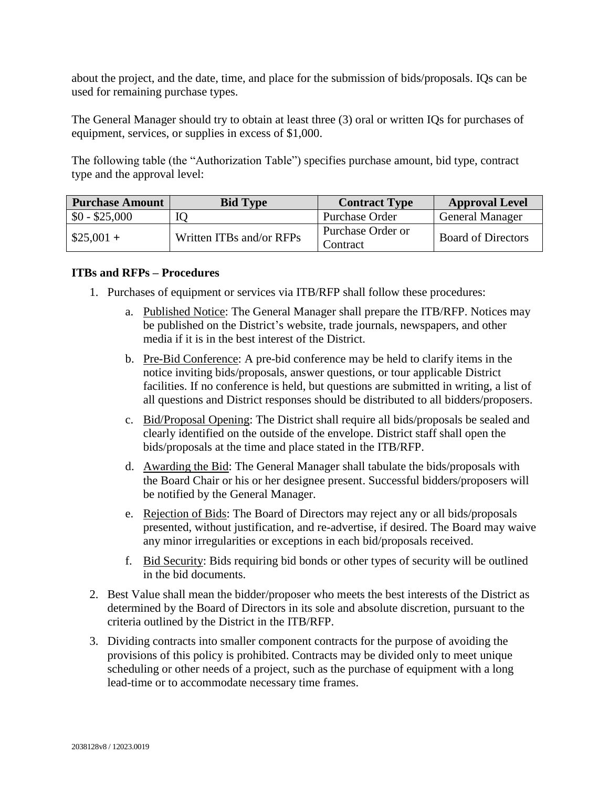about the project, and the date, time, and place for the submission of bids/proposals. IQs can be used for remaining purchase types.

The General Manager should try to obtain at least three (3) oral or written IQs for purchases of equipment, services, or supplies in excess of \$1,000.

The following table (the "Authorization Table") specifies purchase amount, bid type, contract type and the approval level:

| <b>Purchase Amount</b> | <b>Bid Type</b>          | <b>Contract Type</b>          | <b>Approval Level</b>     |
|------------------------|--------------------------|-------------------------------|---------------------------|
| $$0 - $25,000$         |                          | Purchase Order                | <b>General Manager</b>    |
| $$25,001+$             | Written ITBs and/or RFPs | Purchase Order or<br>Contract | <b>Board of Directors</b> |

## **ITBs and RFPs – Procedures**

- 1. Purchases of equipment or services via ITB/RFP shall follow these procedures:
	- a. Published Notice: The General Manager shall prepare the ITB/RFP. Notices may be published on the District's website, trade journals, newspapers, and other media if it is in the best interest of the District.
	- b. Pre-Bid Conference: A pre-bid conference may be held to clarify items in the notice inviting bids/proposals, answer questions, or tour applicable District facilities. If no conference is held, but questions are submitted in writing, a list of all questions and District responses should be distributed to all bidders/proposers.
	- c. Bid/Proposal Opening: The District shall require all bids/proposals be sealed and clearly identified on the outside of the envelope. District staff shall open the bids/proposals at the time and place stated in the ITB/RFP.
	- d. Awarding the Bid: The General Manager shall tabulate the bids/proposals with the Board Chair or his or her designee present. Successful bidders/proposers will be notified by the General Manager.
	- e. Rejection of Bids: The Board of Directors may reject any or all bids/proposals presented, without justification, and re-advertise, if desired. The Board may waive any minor irregularities or exceptions in each bid/proposals received.
	- f. Bid Security: Bids requiring bid bonds or other types of security will be outlined in the bid documents.
- 2. Best Value shall mean the bidder/proposer who meets the best interests of the District as determined by the Board of Directors in its sole and absolute discretion, pursuant to the criteria outlined by the District in the ITB/RFP.
- 3. Dividing contracts into smaller component contracts for the purpose of avoiding the provisions of this policy is prohibited. Contracts may be divided only to meet unique scheduling or other needs of a project, such as the purchase of equipment with a long lead-time or to accommodate necessary time frames.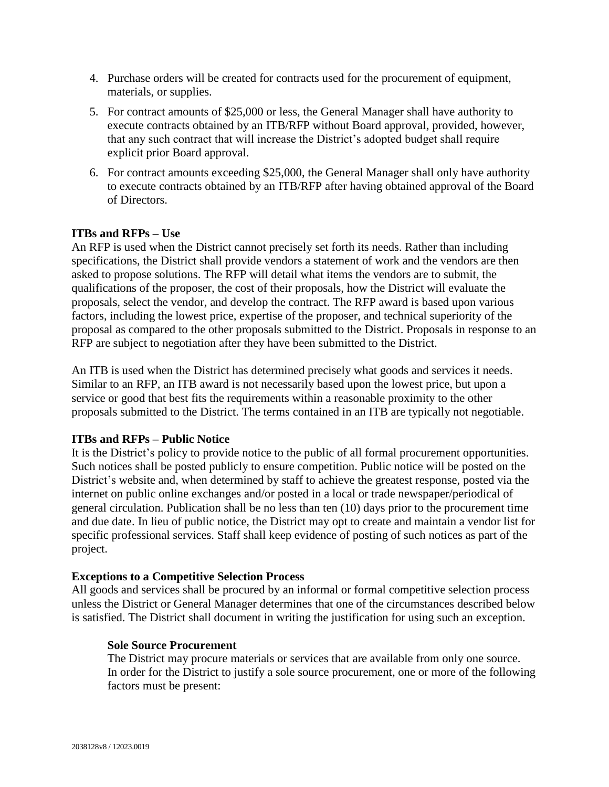- 4. Purchase orders will be created for contracts used for the procurement of equipment, materials, or supplies.
- 5. For contract amounts of \$25,000 or less, the General Manager shall have authority to execute contracts obtained by an ITB/RFP without Board approval, provided, however, that any such contract that will increase the District's adopted budget shall require explicit prior Board approval.
- 6. For contract amounts exceeding \$25,000, the General Manager shall only have authority to execute contracts obtained by an ITB/RFP after having obtained approval of the Board of Directors.

## **ITBs and RFPs – Use**

An RFP is used when the District cannot precisely set forth its needs. Rather than including specifications, the District shall provide vendors a statement of work and the vendors are then asked to propose solutions. The RFP will detail what items the vendors are to submit, the qualifications of the proposer, the cost of their proposals, how the District will evaluate the proposals, select the vendor, and develop the contract. The RFP award is based upon various factors, including the lowest price, expertise of the proposer, and technical superiority of the proposal as compared to the other proposals submitted to the District. Proposals in response to an RFP are subject to negotiation after they have been submitted to the District.

An ITB is used when the District has determined precisely what goods and services it needs. Similar to an RFP, an ITB award is not necessarily based upon the lowest price, but upon a service or good that best fits the requirements within a reasonable proximity to the other proposals submitted to the District. The terms contained in an ITB are typically not negotiable.

## **ITBs and RFPs – Public Notice**

It is the District's policy to provide notice to the public of all formal procurement opportunities. Such notices shall be posted publicly to ensure competition. Public notice will be posted on the District's website and, when determined by staff to achieve the greatest response, posted via the internet on public online exchanges and/or posted in a local or trade newspaper/periodical of general circulation. Publication shall be no less than ten (10) days prior to the procurement time and due date. In lieu of public notice, the District may opt to create and maintain a vendor list for specific professional services. Staff shall keep evidence of posting of such notices as part of the project.

## **Exceptions to a Competitive Selection Process**

All goods and services shall be procured by an informal or formal competitive selection process unless the District or General Manager determines that one of the circumstances described below is satisfied. The District shall document in writing the justification for using such an exception.

## **Sole Source Procurement**

The District may procure materials or services that are available from only one source. In order for the District to justify a sole source procurement, one or more of the following factors must be present: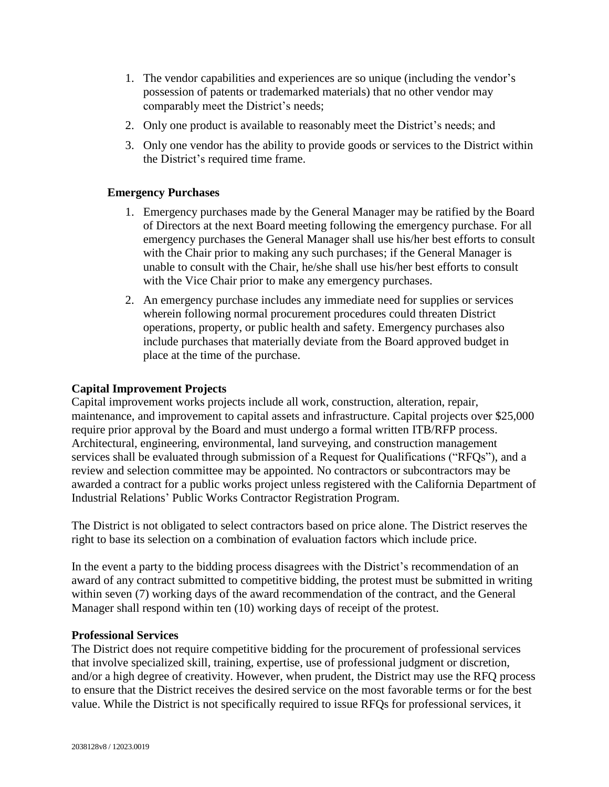- 1. The vendor capabilities and experiences are so unique (including the vendor's possession of patents or trademarked materials) that no other vendor may comparably meet the District's needs;
- 2. Only one product is available to reasonably meet the District's needs; and
- 3. Only one vendor has the ability to provide goods or services to the District within the District's required time frame.

# **Emergency Purchases**

- 1. Emergency purchases made by the General Manager may be ratified by the Board of Directors at the next Board meeting following the emergency purchase. For all emergency purchases the General Manager shall use his/her best efforts to consult with the Chair prior to making any such purchases; if the General Manager is unable to consult with the Chair, he/she shall use his/her best efforts to consult with the Vice Chair prior to make any emergency purchases.
- 2. An emergency purchase includes any immediate need for supplies or services wherein following normal procurement procedures could threaten District operations, property, or public health and safety. Emergency purchases also include purchases that materially deviate from the Board approved budget in place at the time of the purchase.

## **Capital Improvement Projects**

Capital improvement works projects include all work, construction, alteration, repair, maintenance, and improvement to capital assets and infrastructure. Capital projects over \$25,000 require prior approval by the Board and must undergo a formal written ITB/RFP process. Architectural, engineering, environmental, land surveying, and construction management services shall be evaluated through submission of a Request for Qualifications ("RFQs"), and a review and selection committee may be appointed. No contractors or subcontractors may be awarded a contract for a public works project unless registered with the California Department of Industrial Relations' Public Works Contractor Registration Program.

The District is not obligated to select contractors based on price alone. The District reserves the right to base its selection on a combination of evaluation factors which include price.

In the event a party to the bidding process disagrees with the District's recommendation of an award of any contract submitted to competitive bidding, the protest must be submitted in writing within seven (7) working days of the award recommendation of the contract, and the General Manager shall respond within ten (10) working days of receipt of the protest.

## **Professional Services**

The District does not require competitive bidding for the procurement of professional services that involve specialized skill, training, expertise, use of professional judgment or discretion, and/or a high degree of creativity. However, when prudent, the District may use the RFQ process to ensure that the District receives the desired service on the most favorable terms or for the best value. While the District is not specifically required to issue RFQs for professional services, it